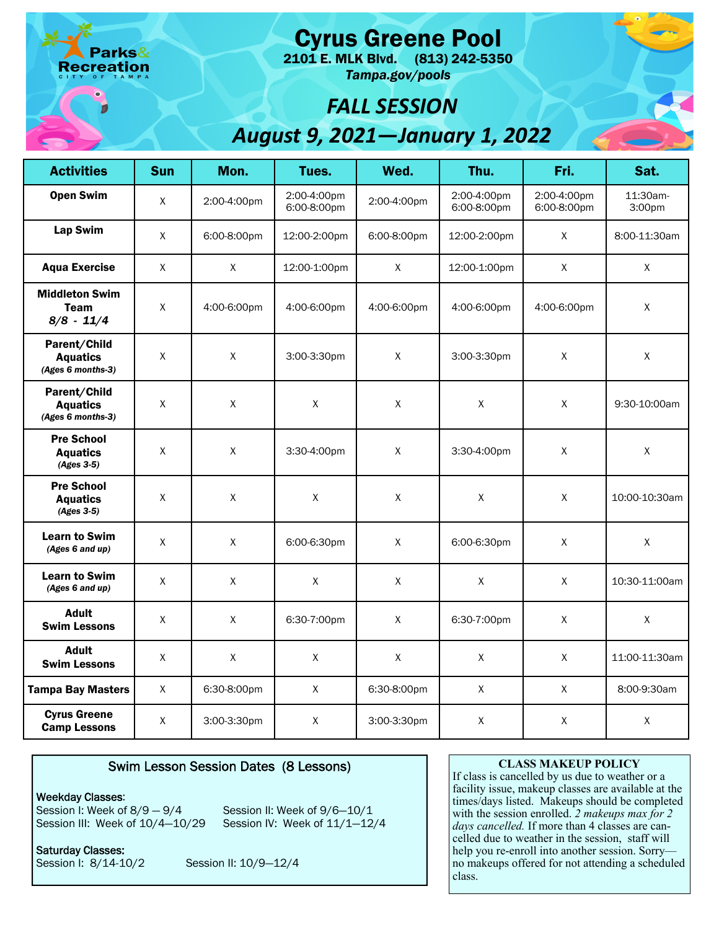eation

Cyrus Greene Pool

 2101 E. MLK Blvd. (813) 242-5350 *Tampa.gov/pools* 

## *FALL SESSION August 9, 2021—January 1, 2022*

| <b>Activities</b>                                    | <b>Sun</b>   | Mon.         | Tues.                      | Wed.         | Thu.                       | Fri.                       | Sat.               |
|------------------------------------------------------|--------------|--------------|----------------------------|--------------|----------------------------|----------------------------|--------------------|
| <b>Open Swim</b>                                     | $\mathsf{X}$ | 2:00-4:00pm  | 2:00-4:00pm<br>6:00-8:00pm | 2:00-4:00pm  | 2:00-4:00pm<br>6:00-8:00pm | 2:00-4:00pm<br>6:00-8:00pm | 11:30am-<br>3:00pm |
| <b>Lap Swim</b>                                      | $\mathsf{X}$ | 6:00-8:00pm  | 12:00-2:00pm               | 6:00-8:00pm  | 12:00-2:00pm               | X                          | 8:00-11:30am       |
| <b>Aqua Exercise</b>                                 | $\mathsf{X}$ | $\mathsf{X}$ | 12:00-1:00pm               | $\mathsf{X}$ | 12:00-1:00pm               | X                          | $\mathsf{X}$       |
| <b>Middleton Swim</b><br><b>Team</b><br>$8/8 - 11/4$ | X            | 4:00-6:00pm  | 4:00-6:00pm                | 4:00-6:00pm  | 4:00-6:00pm                | 4:00-6:00pm                | $\mathsf{X}$       |
| Parent/Child<br><b>Aquatics</b><br>(Ages 6 months-3) | $\mathsf X$  | $\mathsf{X}$ | 3:00-3:30pm                | X            | 3:00-3:30pm                | X                          | X                  |
| Parent/Child<br><b>Aquatics</b><br>(Ages 6 months-3) | X            | X            | $\mathsf{X}$               | X            | $\mathsf X$                | X                          | 9:30-10:00am       |
| <b>Pre School</b><br><b>Aquatics</b><br>(Ages 3-5)   | X            | $\mathsf X$  | 3:30-4:00pm                | X            | 3:30-4:00pm                | X                          | $\mathsf{X}$       |
| <b>Pre School</b><br><b>Aquatics</b><br>$(Ages 3-5)$ | X            | $\mathsf X$  | X                          | X            | X                          | X                          | 10:00-10:30am      |
| <b>Learn to Swim</b><br>(Ages 6 and up)              | X            | X            | 6:00-6:30pm                | X            | 6:00-6:30pm                | X                          | $\mathsf{X}$       |
| <b>Learn to Swim</b><br>(Ages 6 and up)              | $\mathsf X$  | $\mathsf{X}$ | $\mathsf{X}$               | X            | $\mathsf X$                | $\mathsf X$                | 10:30-11:00am      |
| <b>Adult</b><br><b>Swim Lessons</b>                  | X            | $\mathsf{X}$ | 6:30-7:00pm                | X            | 6:30-7:00pm                | X                          | X                  |
| <b>Adult</b><br><b>Swim Lessons</b>                  | X            | $\mathsf X$  | $\mathsf{X}$               | $\mathsf X$  | $\mathsf X$                | $\mathsf X$                | 11:00-11:30am      |
| <b>Tampa Bay Masters</b>                             | X            | 6:30-8:00pm  | $\mathsf X$                | 6:30-8:00pm  | $\mathsf{X}$               | X                          | 8:00-9:30am        |
| <b>Cyrus Greene</b><br><b>Camp Lessons</b>           | $\mathsf X$  | 3:00-3:30pm  | Χ                          | 3:00-3:30pm  | $\mathsf X$                | $\mathsf X$                | $\mathsf X$        |

## Swim Lesson Session Dates (8 Lessons)

Weekday Classes:

Session III: Week of 10/4-10/29 Session IV: Week of 11/1-12/4 Session I: Week of  $8/9 - 9/4$  Session II: Week of  $9/6 - 10/1$ 

Session I: 8/14-10/2 Saturday Classes:

Session II: 10/9-12/4

## **CLASS MAKEUP POLICY**

 If class is cancelled by us due to weather or a facility issue, makeup classes are available at the times/days listed. Makeups should be completed with the session enrolled. *2 makeups max for 2 days cancelled.* If more than 4 classes are cancelled due to weather in the session, staff will help you re-enroll into another session. Sorry no makeups offered for not attending a scheduled class.